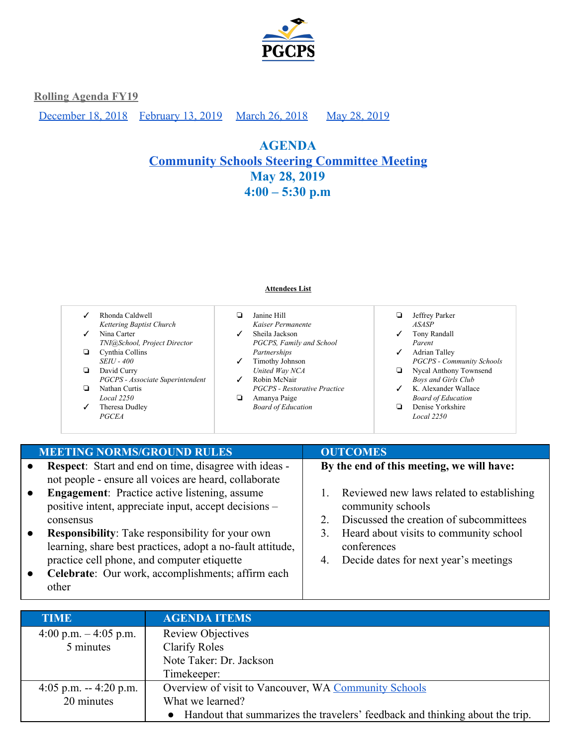

[December 18, 2018](#page-10-0) [February 13, 2019](#page-7-0) [March 26, 2018](#page-5-0) May 28, 2019

# **AGENDA [Community](https://drive.google.com/drive/folders/18QeyLTvYcndJoTuZcEYVRb7aLcca860v?usp=sharing) Schools Steering Committee Meeting May 28, 2019 4:00 – 5:30 p.m**

#### **Attendees List**

| ✓ | Rhonda Caldwell                  |   | Janine Hill                         | ⊔            | Jeffrey Parker                   |
|---|----------------------------------|---|-------------------------------------|--------------|----------------------------------|
|   | Kettering Baptist Church         |   | Kaiser Permanente                   |              | <b>ASASP</b>                     |
| ✓ | Nina Carter                      |   | Sheila Jackson                      | ✓            | Tony Randall                     |
|   | TNI@School, Project Director     |   | PGCPS, Family and School            |              | Parent                           |
|   | Cynthia Collins                  |   | Partnerships                        | ✓            | <b>Adrian Talley</b>             |
|   | <i>SEIU - 400</i>                | ✓ | Timothy Johnson                     |              | <b>PGCPS - Community Schools</b> |
|   | David Curry                      |   | United Way NCA                      | ❏            | Nycal Anthony Townsend           |
|   | PGCPS - Associate Superintendent |   | Robin McNair                        |              | <b>Boys and Girls Club</b>       |
| ▫ | Nathan Curtis                    |   | <b>PGCPS</b> - Restorative Practice | $\checkmark$ | K. Alexander Wallace             |
|   | Local 2250                       |   | Amanya Paige                        |              | <b>Board of Education</b>        |
| ✓ | Theresa Dudley                   |   | <b>Board of Education</b>           |              | Denise Yorkshire                 |
|   | <b>PGCEA</b>                     |   |                                     |              | <b>Local</b> 2250                |

| <b>MEETING NORMS/GROUND RULES</b>                                                                                                                                                                | <b>OUTCOMES</b>                                                                           |
|--------------------------------------------------------------------------------------------------------------------------------------------------------------------------------------------------|-------------------------------------------------------------------------------------------|
| Respect: Start and end on time, disagree with ideas -<br>$\bullet$<br>not people - ensure all voices are heard, collaborate<br><b>Engagement:</b> Practice active listening, assume<br>$\bullet$ | By the end of this meeting, we will have:<br>1. Reviewed new laws related to establishing |
| positive intent, appreciate input, accept decisions –<br>consensus                                                                                                                               | community schools<br>Discussed the creation of subcommittees<br>2                         |
| <b>Responsibility:</b> Take responsibility for your own<br>$\bullet$<br>learning, share best practices, adopt a no-fault attitude,                                                               | Heard about visits to community school<br>3.<br>conferences                               |
| practice cell phone, and computer etiquette<br>Celebrate: Our work, accomplishments; affirm each<br>$\bullet$<br>other                                                                           | Decide dates for next year's meetings<br>4.                                               |

| <b>TIME</b>             | <b>AGENDA ITEMS</b>                                                          |
|-------------------------|------------------------------------------------------------------------------|
| 4:00 p.m. $-$ 4:05 p.m. | <b>Review Objectives</b>                                                     |
| 5 minutes               | Clarify Roles                                                                |
|                         | Note Taker: Dr. Jackson                                                      |
|                         | Timekeeper:                                                                  |
| 4:05 p.m. $-4:20$ p.m.  | Overview of visit to Vancouver, WA Community Schools                         |
| 20 minutes              | What we learned?                                                             |
|                         | Handout that summarizes the travelers' feedback and thinking about the trip. |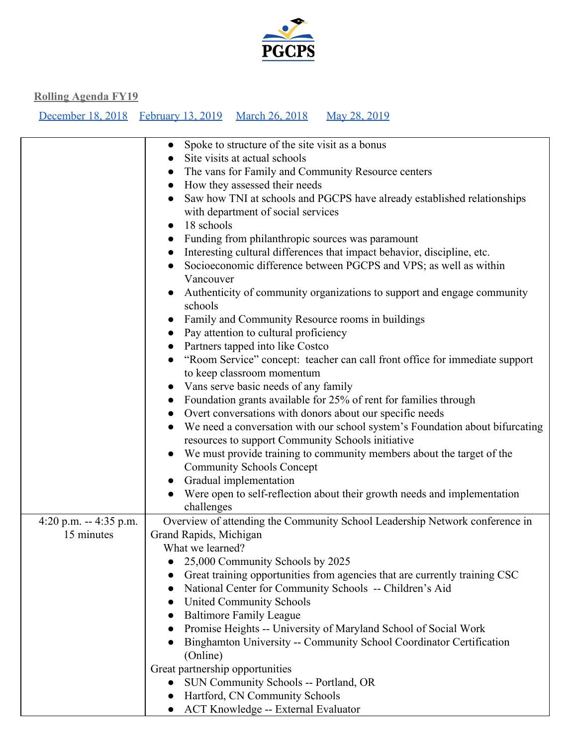

|                        | Spoke to structure of the site visit as a bonus                               |
|------------------------|-------------------------------------------------------------------------------|
|                        | Site visits at actual schools<br>$\bullet$                                    |
|                        | The vans for Family and Community Resource centers<br>$\bullet$               |
|                        | How they assessed their needs<br>$\bullet$                                    |
|                        | Saw how TNI at schools and PGCPS have already established relationships       |
|                        | with department of social services                                            |
|                        | 18 schools                                                                    |
|                        | Funding from philanthropic sources was paramount<br>$\bullet$                 |
|                        | Interesting cultural differences that impact behavior, discipline, etc.       |
|                        | Socioeconomic difference between PGCPS and VPS; as well as within             |
|                        | Vancouver                                                                     |
|                        | Authenticity of community organizations to support and engage community       |
|                        | schools                                                                       |
|                        | Family and Community Resource rooms in buildings                              |
|                        | Pay attention to cultural proficiency                                         |
|                        | Partners tapped into like Costco<br>$\bullet$                                 |
|                        | "Room Service" concept: teacher can call front office for immediate support   |
|                        | to keep classroom momentum                                                    |
|                        | • Vans serve basic needs of any family                                        |
|                        | Foundation grants available for 25% of rent for families through<br>$\bullet$ |
|                        | Overt conversations with donors about our specific needs<br>$\bullet$         |
|                        | We need a conversation with our school system's Foundation about bifurcating  |
|                        | resources to support Community Schools initiative                             |
|                        | We must provide training to community members about the target of the         |
|                        | <b>Community Schools Concept</b>                                              |
|                        | Gradual implementation<br>$\bullet$                                           |
|                        | Were open to self-reflection about their growth needs and implementation      |
|                        | challenges                                                                    |
| 4:20 p.m. $-4:35$ p.m. | Overview of attending the Community School Leadership Network conference in   |
| 15 minutes             | Grand Rapids, Michigan                                                        |
|                        | What we learned?                                                              |
|                        | 25,000 Community Schools by 2025                                              |
|                        | Great training opportunities from agencies that are currently training CSC    |
|                        | National Center for Community Schools -- Children's Aid<br>$\bullet$          |
|                        | <b>United Community Schools</b><br>$\bullet$                                  |
|                        | <b>Baltimore Family League</b>                                                |
|                        | Promise Heights -- University of Maryland School of Social Work<br>$\bullet$  |
|                        | Binghamton University -- Community School Coordinator Certification           |
|                        | (Online)                                                                      |
|                        | Great partnership opportunities                                               |
|                        | SUN Community Schools -- Portland, OR<br>$\bullet$                            |
|                        | Hartford, CN Community Schools<br>$\bullet$                                   |
|                        | <b>ACT Knowledge -- External Evaluator</b>                                    |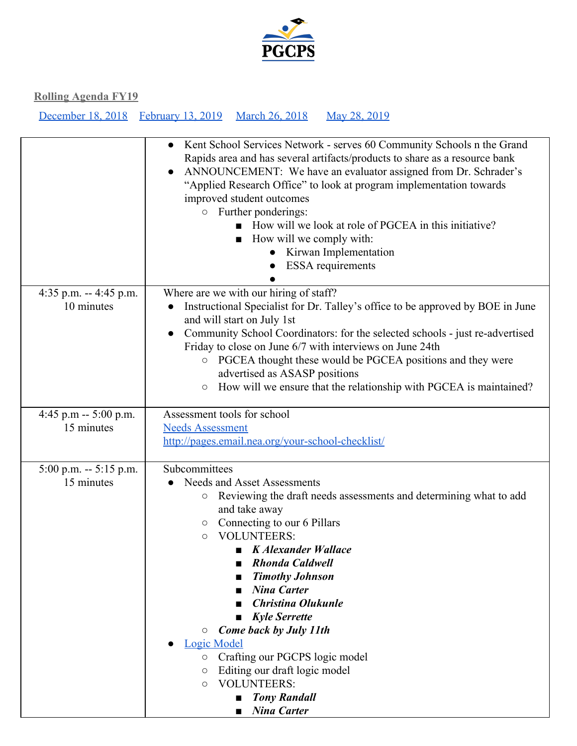

|                                       | Kent School Services Network - serves 60 Community Schools n the Grand<br>$\bullet$<br>Rapids area and has several artifacts/products to share as a resource bank<br>ANNOUNCEMENT: We have an evaluator assigned from Dr. Schrader's<br>"Applied Research Office" to look at program implementation towards<br>improved student outcomes<br>o Further ponderings:<br>How will we look at role of PGCEA in this initiative?<br>How will we comply with:<br>Kirwan Implementation<br><b>ESSA</b> requirements                                                                                                                               |
|---------------------------------------|-------------------------------------------------------------------------------------------------------------------------------------------------------------------------------------------------------------------------------------------------------------------------------------------------------------------------------------------------------------------------------------------------------------------------------------------------------------------------------------------------------------------------------------------------------------------------------------------------------------------------------------------|
| 4:35 p.m. -- 4:45 p.m.<br>10 minutes  | Where are we with our hiring of staff?<br>Instructional Specialist for Dr. Talley's office to be approved by BOE in June<br>and will start on July 1st<br>Community School Coordinators: for the selected schools - just re-advertised<br>Friday to close on June 6/7 with interviews on June 24th<br>PGCEA thought these would be PGCEA positions and they were<br>$\bigcirc$<br>advertised as ASASP positions<br>How will we ensure that the relationship with PGCEA is maintained?<br>$\bigcirc$                                                                                                                                       |
| 4:45 p.m -- $5:00$ p.m.<br>15 minutes | Assessment tools for school<br><b>Needs Assessment</b><br>http://pages.email.nea.org/your-school-checklist/                                                                                                                                                                                                                                                                                                                                                                                                                                                                                                                               |
| 5:00 p.m. -- 5:15 p.m.<br>15 minutes  | Subcommittees<br>Needs and Asset Assessments<br>Reviewing the draft needs assessments and determining what to add<br>О<br>and take away<br>Connecting to our 6 Pillars<br>$\circ$<br><b>VOLUNTEERS:</b><br>$\circ$<br>$\blacksquare$ K Alexander Wallace<br><b>Rhonda Caldwell</b><br><b>Timothy Johnson</b><br><b>Nina Carter</b><br><b>Christina Olukunle</b><br><b>Kyle Serrette</b><br>$\blacksquare$<br><b>Come back by July 11th</b><br>$\circ$<br><b>Logic Model</b><br>Crafting our PGCPS logic model<br>$\bigcirc$<br>Editing our draft logic model<br>O<br><b>VOLUNTEERS:</b><br>O<br><b>Tony Randall</b><br><b>Nina Carter</b> |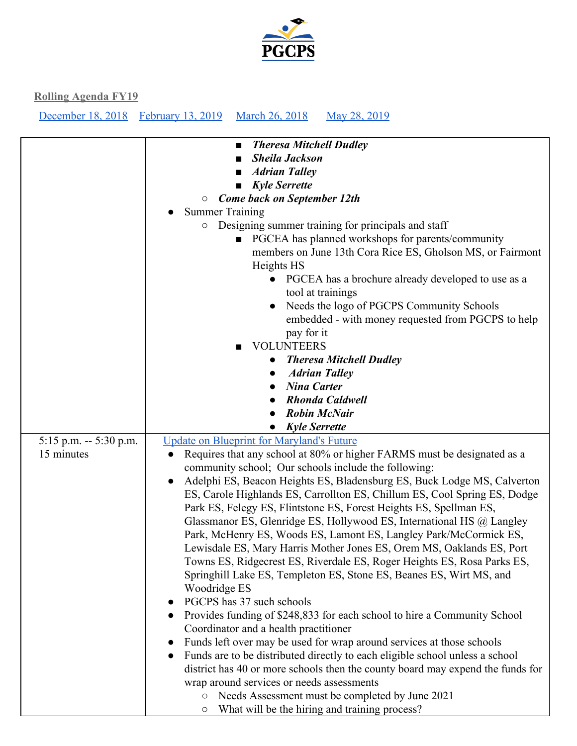

|                          | <b>Theresa Mitchell Dudley</b><br>$\blacksquare$                                                                 |
|--------------------------|------------------------------------------------------------------------------------------------------------------|
|                          | <b>Sheila Jackson</b><br>■                                                                                       |
|                          | <b>Adrian Talley</b>                                                                                             |
|                          | <b>Kyle Serrette</b><br>$\blacksquare$                                                                           |
|                          | <b>Come back on September 12th</b><br>$\bigcirc$                                                                 |
|                          | <b>Summer Training</b>                                                                                           |
|                          | Designing summer training for principals and staff<br>$\circ$                                                    |
|                          | ■ PGCEA has planned workshops for parents/community                                                              |
|                          | members on June 13th Cora Rice ES, Gholson MS, or Fairmont                                                       |
|                          | Heights HS                                                                                                       |
|                          | PGCEA has a brochure already developed to use as a                                                               |
|                          | tool at trainings                                                                                                |
|                          | Needs the logo of PGCPS Community Schools                                                                        |
|                          | embedded - with money requested from PGCPS to help                                                               |
|                          | pay for it                                                                                                       |
|                          | <b>VOLUNTEERS</b>                                                                                                |
|                          | <b>Theresa Mitchell Dudley</b>                                                                                   |
|                          | <b>Adrian Talley</b>                                                                                             |
|                          | <b>Nina Carter</b>                                                                                               |
|                          | <b>Rhonda Caldwell</b>                                                                                           |
|                          | <b>Robin McNair</b>                                                                                              |
|                          | <b>Kyle Serrette</b>                                                                                             |
| $5:15$ p.m. $-5:30$ p.m. | <b>Update on Blueprint for Maryland's Future</b>                                                                 |
| 15 minutes               | Requires that any school at 80% or higher FARMS must be designated as a                                          |
|                          | community school; Our schools include the following:                                                             |
|                          | Adelphi ES, Beacon Heights ES, Bladensburg ES, Buck Lodge MS, Calverton                                          |
|                          | ES, Carole Highlands ES, Carrollton ES, Chillum ES, Cool Spring ES, Dodge                                        |
|                          | Park ES, Felegy ES, Flintstone ES, Forest Heights ES, Spellman ES,                                               |
|                          | Glassmanor ES, Glenridge ES, Hollywood ES, International HS @ Langley                                            |
|                          | Park, McHenry ES, Woods ES, Lamont ES, Langley Park/McCormick ES,                                                |
|                          | Lewisdale ES, Mary Harris Mother Jones ES, Orem MS, Oaklands ES, Port                                            |
|                          | Towns ES, Ridgecrest ES, Riverdale ES, Roger Heights ES, Rosa Parks ES,                                          |
|                          | Springhill Lake ES, Templeton ES, Stone ES, Beanes ES, Wirt MS, and                                              |
|                          | Woodridge ES                                                                                                     |
|                          | PGCPS has 37 such schools                                                                                        |
|                          | Provides funding of \$248,833 for each school to hire a Community School                                         |
|                          | Coordinator and a health practitioner                                                                            |
|                          | Funds left over may be used for wrap around services at those schools                                            |
|                          | Funds are to be distributed directly to each eligible school unless a school<br>$\bullet$                        |
|                          |                                                                                                                  |
|                          | district has 40 or more schools then the county board may expend the funds for                                   |
|                          |                                                                                                                  |
|                          | wrap around services or needs assessments                                                                        |
|                          | Needs Assessment must be completed by June 2021<br>$\circ$<br>What will be the hiring and training process?<br>О |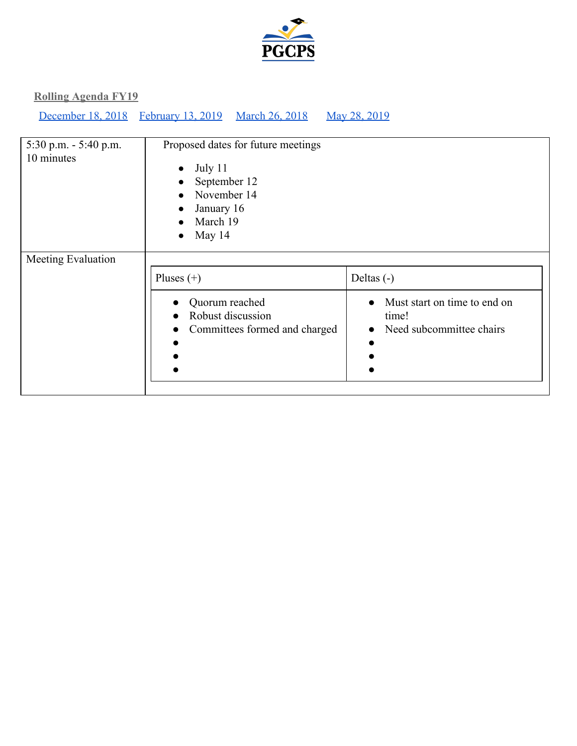

| 5:30 p.m. $-$ 5:40 p.m.<br>10 minutes | Proposed dates for future meetings<br>July 11<br>$\bullet$<br>September 12<br>$\bullet$<br>November 14<br>$\bullet$<br>January 16<br>$\bullet$<br>March 19<br>$\bullet$<br>May 14<br>$\bullet$ |                                                                                                  |  |  |
|---------------------------------------|------------------------------------------------------------------------------------------------------------------------------------------------------------------------------------------------|--------------------------------------------------------------------------------------------------|--|--|
| Meeting Evaluation                    | Pluses $(+)$<br>Quorum reached<br>Robust discussion<br>Committees formed and charged                                                                                                           | Deltas $(-)$<br>• Must start on time to end on<br>time!<br>Need subcommittee chairs<br>$\bullet$ |  |  |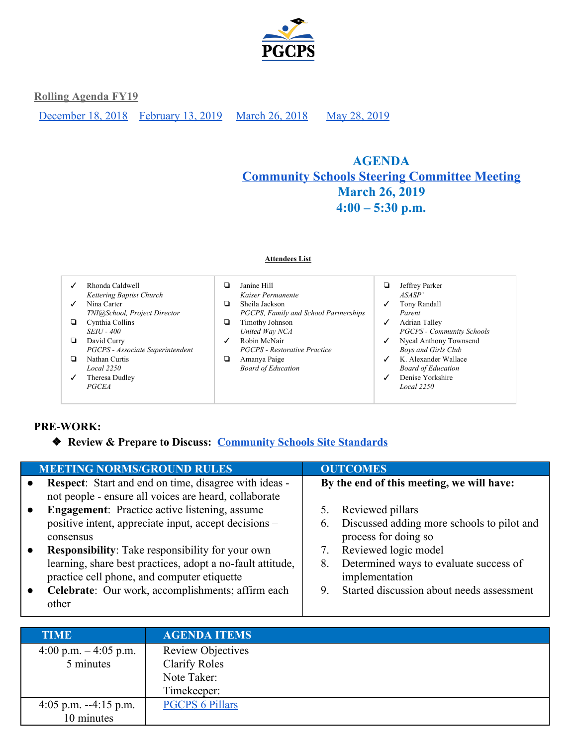

[December 18, 2018](#page-10-0) [February 13, 2019](#page-7-0) [March 26, 2018](#page-5-0) May 28, 2019

# <span id="page-5-0"></span>**AGENDA [Community](https://drive.google.com/drive/folders/18QeyLTvYcndJoTuZcEYVRb7aLcca860v?usp=sharing) Schools Steering Committee Meeting March 26, 2019 4:00 – 5:30 p.m.**

|   | Rhonda Caldwell                  |   | Janine Hill                           |              | Jeffrey Parker                   |
|---|----------------------------------|---|---------------------------------------|--------------|----------------------------------|
|   | Kettering Baptist Church         |   | Kaiser Permanente                     |              | ASASP                            |
|   | Nina Carter                      | u | Sheila Jackson                        | ✓            | Tony Randall                     |
|   | TNI@School, Project Director     |   | PGCPS, Family and School Partnerships |              | Parent                           |
| ▫ | Cynthia Collins                  | u | Timothy Johnson                       | ✓            | Adrian Talley                    |
|   | <b>SEIU - 400</b>                |   | United Way NCA                        |              | <b>PGCPS - Community Schools</b> |
| ▫ | David Curry                      | ✓ | Robin McNair                          | ✓            | Nycal Anthony Townsend           |
|   | PGCPS - Associate Superintendent |   | <b>PGCPS</b> - Restorative Practice   |              | <b>Boys and Girls Club</b>       |
| ◘ | Nathan Curtis                    | u | Amanya Paige                          | $\checkmark$ | K. Alexander Wallace             |
|   | Local 2250                       |   | <b>Board of Education</b>             |              | <b>Board of Education</b>        |
|   | Theresa Dudley                   |   |                                       |              | Denise Yorkshire                 |
|   | <b>PGCEA</b>                     |   |                                       |              | Local 2250                       |

**Attendees List**

## **PRE-WORK:**

❖ **Review & Prepare to Discuss: [Community Schools Site Standards](https://drive.google.com/file/d/16eb4HJpqcQ4iQRqBfANKU5cVMCywxPPQ/view?usp=sharing)**

| <b>MEETING NORMS/GROUND RULES</b>                                                                                                                                                                                                                                                                                                                                | <b>OUTCOMES</b>                                                                                                                                                                                                                                |
|------------------------------------------------------------------------------------------------------------------------------------------------------------------------------------------------------------------------------------------------------------------------------------------------------------------------------------------------------------------|------------------------------------------------------------------------------------------------------------------------------------------------------------------------------------------------------------------------------------------------|
| <b>Respect:</b> Start and end on time, disagree with ideas -<br>not people - ensure all voices are heard, collaborate                                                                                                                                                                                                                                            | By the end of this meeting, we will have:                                                                                                                                                                                                      |
| <b>Engagement:</b> Practice active listening, assume<br>positive intent, appreciate input, accept decisions –<br>consensus<br><b>Responsibility:</b> Take responsibility for your own<br>learning, share best practices, adopt a no-fault attitude,<br>practice cell phone, and computer etiquette<br>Celebrate: Our work, accomplishments; affirm each<br>other | Reviewed pillars<br>Discussed adding more schools to pilot and<br>6.<br>process for doing so<br>Reviewed logic model<br>7.<br>Determined ways to evaluate success of<br>8.<br>implementation<br>Started discussion about needs assessment<br>9 |

| <b>TIME</b>             | <b>AGENDA ITEMS</b>      |
|-------------------------|--------------------------|
| 4:00 p.m. $-$ 4:05 p.m. | <b>Review Objectives</b> |
| 5 minutes               | <b>Clarify Roles</b>     |
|                         | Note Taker:              |
|                         | Timekeeper:              |
| 4:05 p.m. $-4:15$ p.m.  | <b>PGCPS 6 Pillars</b>   |
| 10 minutes              |                          |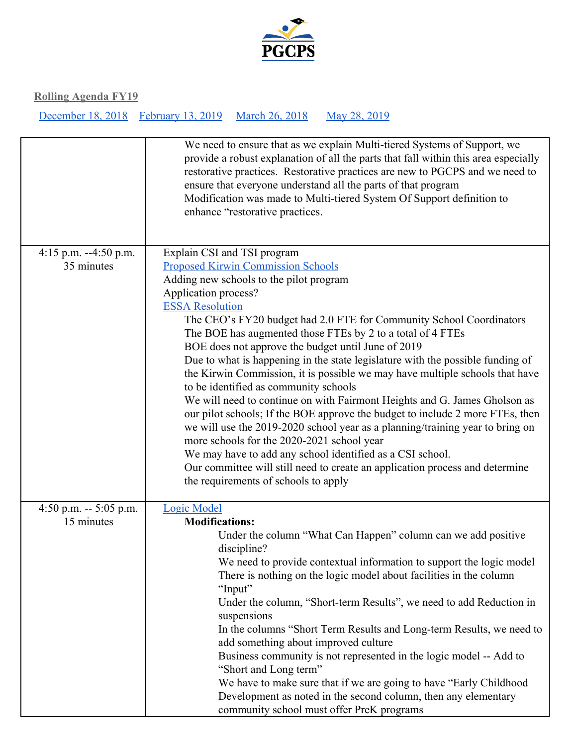

|                                      | We need to ensure that as we explain Multi-tiered Systems of Support, we<br>provide a robust explanation of all the parts that fall within this area especially<br>restorative practices. Restorative practices are new to PGCPS and we need to<br>ensure that everyone understand all the parts of that program<br>Modification was made to Multi-tiered System Of Support definition to<br>enhance "restorative practices.                                                                                                                                                                                                                                                                                                                                                                                                                                                                                                                                                                                                                                  |
|--------------------------------------|---------------------------------------------------------------------------------------------------------------------------------------------------------------------------------------------------------------------------------------------------------------------------------------------------------------------------------------------------------------------------------------------------------------------------------------------------------------------------------------------------------------------------------------------------------------------------------------------------------------------------------------------------------------------------------------------------------------------------------------------------------------------------------------------------------------------------------------------------------------------------------------------------------------------------------------------------------------------------------------------------------------------------------------------------------------|
| 4:15 p.m. $-4:50$ p.m.<br>35 minutes | Explain CSI and TSI program<br><b>Proposed Kirwin Commission Schools</b><br>Adding new schools to the pilot program<br>Application process?<br><b>ESSA Resolution</b><br>The CEO's FY20 budget had 2.0 FTE for Community School Coordinators<br>The BOE has augmented those FTEs by 2 to a total of 4 FTEs<br>BOE does not approve the budget until June of 2019<br>Due to what is happening in the state legislature with the possible funding of<br>the Kirwin Commission, it is possible we may have multiple schools that have<br>to be identified as community schools<br>We will need to continue on with Fairmont Heights and G. James Gholson as<br>our pilot schools; If the BOE approve the budget to include 2 more FTEs, then<br>we will use the 2019-2020 school year as a planning/training year to bring on<br>more schools for the 2020-2021 school year<br>We may have to add any school identified as a CSI school.<br>Our committee will still need to create an application process and determine<br>the requirements of schools to apply |
| 4:50 p.m. $-5:05$ p.m.<br>15 minutes | <b>Logic Model</b><br><b>Modifications:</b><br>Under the column "What Can Happen" column can we add positive<br>discipline?<br>We need to provide contextual information to support the logic model<br>There is nothing on the logic model about facilities in the column<br>"Input"<br>Under the column, "Short-term Results", we need to add Reduction in<br>suspensions<br>In the columns "Short Term Results and Long-term Results, we need to<br>add something about improved culture<br>Business community is not represented in the logic model -- Add to<br>"Short and Long term"<br>We have to make sure that if we are going to have "Early Childhood<br>Development as noted in the second column, then any elementary<br>community school must offer PreK programs                                                                                                                                                                                                                                                                                |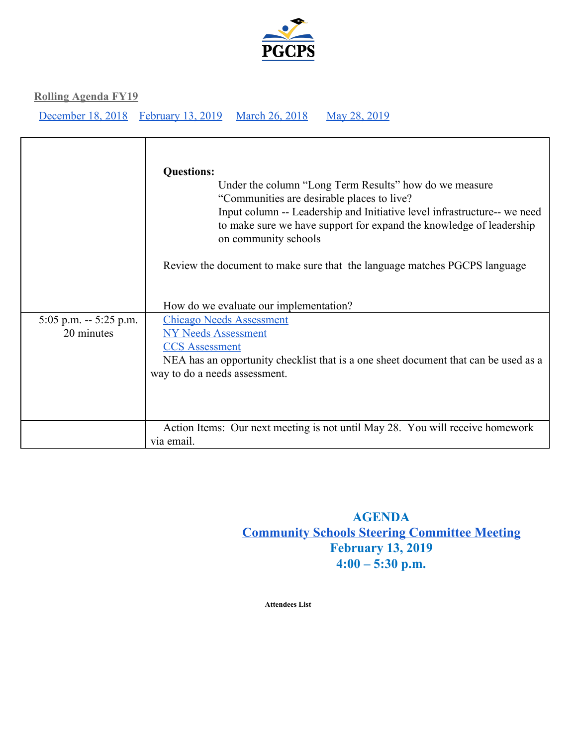

[December 18, 2018](#page-10-0) [February 13, 2019](#page-7-0) [March 26, 2018](#page-5-0) May 28, 2019

|                                        | <b>Questions:</b><br>Under the column "Long Term Results" how do we measure<br>"Communities are desirable places to live?"<br>Input column -- Leadership and Initiative level infrastructure-- we need<br>to make sure we have support for expand the knowledge of leadership<br>on community schools<br>Review the document to make sure that the language matches PGCPS language |
|----------------------------------------|------------------------------------------------------------------------------------------------------------------------------------------------------------------------------------------------------------------------------------------------------------------------------------------------------------------------------------------------------------------------------------|
|                                        | How do we evaluate our implementation?                                                                                                                                                                                                                                                                                                                                             |
| $5:05$ p.m. $-5:25$ p.m.<br>20 minutes | <b>Chicago Needs Assessment</b><br><b>NY Needs Assessment</b><br><b>CCS</b> Assessment<br>NEA has an opportunity checklist that is a one sheet document that can be used as a<br>way to do a needs assessment.                                                                                                                                                                     |
|                                        | Action Items: Our next meeting is not until May 28. You will receive homework<br>via email.                                                                                                                                                                                                                                                                                        |

**AGENDA [Community](https://drive.google.com/drive/folders/18QeyLTvYcndJoTuZcEYVRb7aLcca860v?usp=sharing) Schools Steering Committee Meeting February 13, 2019 4:00 – 5:30 p.m.**

<span id="page-7-0"></span>**Attendees List**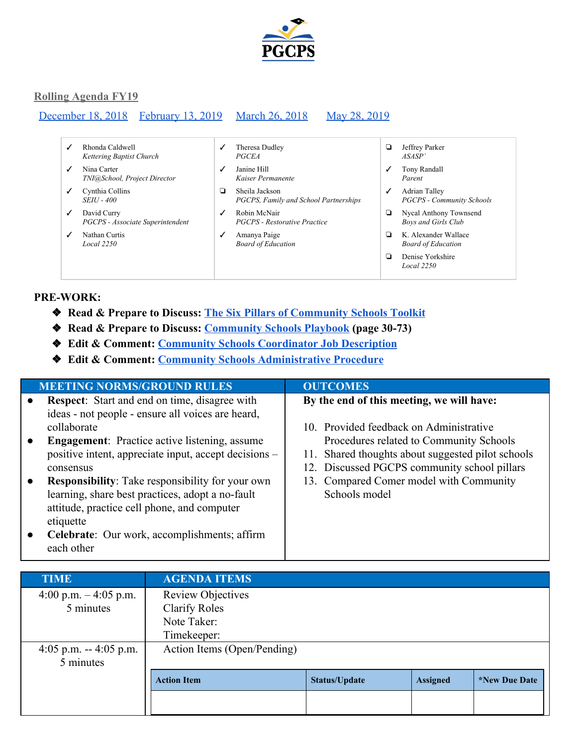

#### [December 18, 2018](#page-10-0) [February 13, 2019](#page-7-0) [March 26, 2018](#page-5-0) May 28, 2019

- ✓ Rhonda Caldwell *Kettering Baptist Church*
- ✓ Nina Carter *TNI@School, Project Director*
- ✓ Cynthia Collins *SEIU - 400*
- ✓ David Curry *PGCPS - Associate Superintendent*
- ✓ Nathan Curtis *Local 2250*
- ✓ Theresa Dudley *PGCEA* ✓ Janine Hill
- *Kaiser Permanente* ❏ Sheila Jackson
- *PGCPS, Family and School Partnerships*
- ✓ Robin McNair *PGCPS - Restorative Practice*
- ✓ Amanya Paige *Board of Education*
- ❏ Jeffrey Parker *ASASP`*
- ✓ Tony Randall *Parent*
- ✓ Adrian Talley *PGCPS - Community Schools*
- ❏ Nycal Anthony Townsend *Boys and Girls Club*
- ❏ K. Alexander Wallace *Board of Education*
- ❏ Denise Yorkshire *Local 2250*

## **PRE-WORK:**

- ❖ **Read & Prepare to Discuss: [The Six Pillars of Community Schools Toolkit](http://iel.org/sites/default/files/Comm%20Schools%20ToolKit-final%20digi-web-5-23-17.pdf)**
- ❖ **Read & Prepare to Discuss: [Community Schools Playbook](https://communityschools.futureforlearning.org/) (page 30-73)**
- ❖ **Edit & Comment: [Community Schools Coordinator Job Description](https://docs.google.com/document/d/1ll5eVmyDYdTVfLuX6VtniSacZXcTaaN9NpsVIYDIZNw/edit?usp=sharing)**
- ❖ **Edit & Comment: [Community Schools Administrative Procedure](https://docs.google.com/document/d/1oNyxkFYsOOKNEXDq6irf1OWKlshQiMCu2McxphY_DBY/edit?usp=sharing)**

|           | <b>MEETING NORMS/GROUND RULES</b>                       | <b>OUTCOMES</b>                                   |
|-----------|---------------------------------------------------------|---------------------------------------------------|
| $\bullet$ | <b>Respect:</b> Start and end on time, disagree with    | By the end of this meeting, we will have:         |
|           | ideas - not people - ensure all voices are heard,       |                                                   |
|           | collaborate                                             | 10. Provided feedback on Administrative           |
| $\bullet$ | <b>Engagement:</b> Practice active listening, assume    | Procedures related to Community Schools           |
|           | positive intent, appreciate input, accept decisions –   | 11. Shared thoughts about suggested pilot schools |
|           | consensus                                               | 12. Discussed PGCPS community school pillars      |
| $\bullet$ | <b>Responsibility:</b> Take responsibility for your own | 13. Compared Comer model with Community           |
|           | learning, share best practices, adopt a no-fault        | Schools model                                     |
|           | attitude, practice cell phone, and computer             |                                                   |
|           | etiquette                                               |                                                   |
| $\bullet$ | Celebrate: Our work, accomplishments; affirm            |                                                   |
|           | each other                                              |                                                   |

| <b>TIME</b>            | <b>AGENDA ITEMS</b>         |                      |                 |                             |
|------------------------|-----------------------------|----------------------|-----------------|-----------------------------|
| 4:00 p.m. $-4:05$ p.m. | <b>Review Objectives</b>    |                      |                 |                             |
| 5 minutes              | <b>Clarify Roles</b>        |                      |                 |                             |
|                        | Note Taker:                 |                      |                 |                             |
|                        | Timekeeper:                 |                      |                 |                             |
| 4:05 p.m. $-4:05$ p.m. | Action Items (Open/Pending) |                      |                 |                             |
| 5 minutes              |                             |                      |                 |                             |
|                        | <b>Action Item</b>          | <b>Status/Update</b> | <b>Assigned</b> | <i><b>*New Due Date</b></i> |
|                        |                             |                      |                 |                             |
|                        |                             |                      |                 |                             |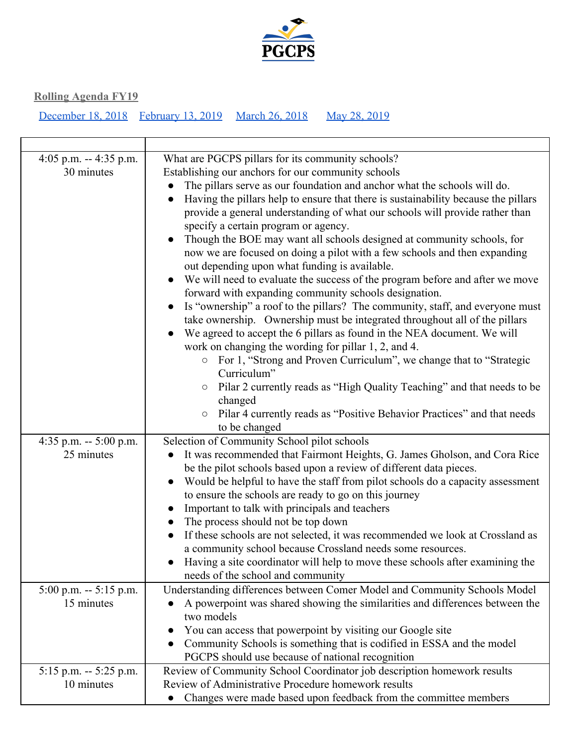

| 4:05 p.m. $-4:35$ p.m.<br>30 minutes     | What are PGCPS pillars for its community schools?<br>Establishing our anchors for our community schools<br>The pillars serve as our foundation and anchor what the schools will do.<br>Having the pillars help to ensure that there is sustainability because the pillars<br>provide a general understanding of what our schools will provide rather than<br>specify a certain program or agency.<br>Though the BOE may want all schools designed at community schools, for<br>now we are focused on doing a pilot with a few schools and then expanding<br>out depending upon what funding is available.<br>We will need to evaluate the success of the program before and after we move<br>$\bullet$<br>forward with expanding community schools designation.<br>Is "ownership" a roof to the pillars? The community, staff, and everyone must<br>take ownership. Ownership must be integrated throughout all of the pillars<br>We agreed to accept the 6 pillars as found in the NEA document. We will<br>work on changing the wording for pillar 1, 2, and 4.<br>○ For 1, "Strong and Proven Curriculum", we change that to "Strategic<br>Curriculum"<br>Pilar 2 currently reads as "High Quality Teaching" and that needs to be<br>changed<br>Pilar 4 currently reads as "Positive Behavior Practices" and that needs<br>$\circlearrowright$<br>to be changed |
|------------------------------------------|--------------------------------------------------------------------------------------------------------------------------------------------------------------------------------------------------------------------------------------------------------------------------------------------------------------------------------------------------------------------------------------------------------------------------------------------------------------------------------------------------------------------------------------------------------------------------------------------------------------------------------------------------------------------------------------------------------------------------------------------------------------------------------------------------------------------------------------------------------------------------------------------------------------------------------------------------------------------------------------------------------------------------------------------------------------------------------------------------------------------------------------------------------------------------------------------------------------------------------------------------------------------------------------------------------------------------------------------------------------------|
| 4:35 p.m. $-5:00$ p.m.<br>25 minutes     | Selection of Community School pilot schools<br>It was recommended that Fairmont Heights, G. James Gholson, and Cora Rice<br>be the pilot schools based upon a review of different data pieces.<br>Would be helpful to have the staff from pilot schools do a capacity assessment<br>to ensure the schools are ready to go on this journey<br>Important to talk with principals and teachers<br>The process should not be top down<br>If these schools are not selected, it was recommended we look at Crossland as<br>a community school because Crossland needs some resources.<br>Having a site coordinator will help to move these schools after examining the<br>needs of the school and community                                                                                                                                                                                                                                                                                                                                                                                                                                                                                                                                                                                                                                                             |
| 5:00 p.m. -- 5:15 p.m.<br>15 minutes     | Understanding differences between Comer Model and Community Schools Model<br>A powerpoint was shared showing the similarities and differences between the<br>two models<br>You can access that powerpoint by visiting our Google site<br>Community Schools is something that is codified in ESSA and the model<br>PGCPS should use because of national recognition                                                                                                                                                                                                                                                                                                                                                                                                                                                                                                                                                                                                                                                                                                                                                                                                                                                                                                                                                                                                 |
| $5:15$ p.m. -- $5:25$ p.m.<br>10 minutes | Review of Community School Coordinator job description homework results<br>Review of Administrative Procedure homework results<br>Changes were made based upon feedback from the committee members<br>$\bullet$                                                                                                                                                                                                                                                                                                                                                                                                                                                                                                                                                                                                                                                                                                                                                                                                                                                                                                                                                                                                                                                                                                                                                    |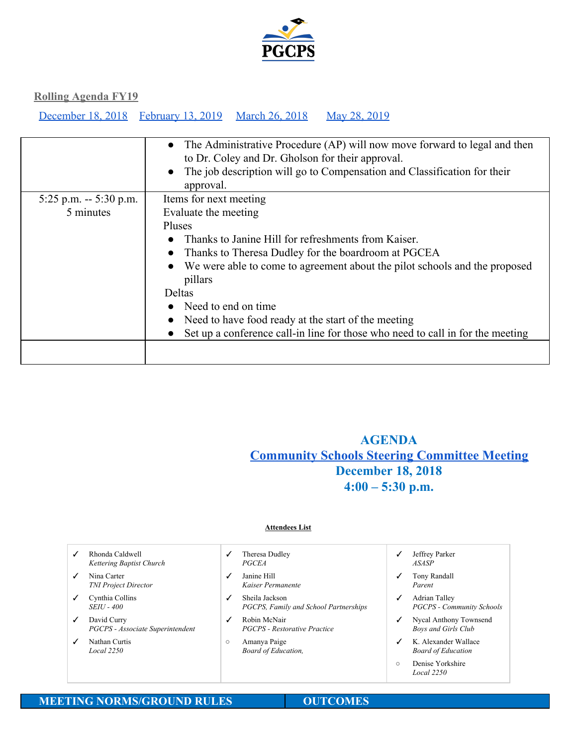

[December 18, 2018](#page-10-0) [February 13, 2019](#page-7-0) [March 26, 2018](#page-5-0) May 28, 2019

|                         | • The Administrative Procedure (AP) will now move forward to legal and then<br>to Dr. Coley and Dr. Gholson for their approval.<br>The job description will go to Compensation and Classification for their<br>approval. |  |  |
|-------------------------|--------------------------------------------------------------------------------------------------------------------------------------------------------------------------------------------------------------------------|--|--|
| 5:25 p.m. $-$ 5:30 p.m. | Items for next meeting                                                                                                                                                                                                   |  |  |
| 5 minutes               | Evaluate the meeting                                                                                                                                                                                                     |  |  |
|                         | Pluses                                                                                                                                                                                                                   |  |  |
|                         | Thanks to Janine Hill for refreshments from Kaiser.                                                                                                                                                                      |  |  |
|                         | Thanks to Theresa Dudley for the boardroom at PGCEA                                                                                                                                                                      |  |  |
|                         | • We were able to come to agreement about the pilot schools and the proposed<br>pillars                                                                                                                                  |  |  |
|                         | <b>Deltas</b>                                                                                                                                                                                                            |  |  |
|                         | Need to end on time                                                                                                                                                                                                      |  |  |
|                         | Need to have food ready at the start of the meeting                                                                                                                                                                      |  |  |
|                         | Set up a conference call-in line for those who need to call in for the meeting                                                                                                                                           |  |  |
|                         |                                                                                                                                                                                                                          |  |  |

## <span id="page-10-0"></span>**AGENDA [Community](https://drive.google.com/drive/folders/18QeyLTvYcndJoTuZcEYVRb7aLcca860v?usp=sharing) Schools Steering Committee Meeting December 18, 2018 4:00 – 5:30 p.m.**

#### **Attendees List**

|              | Rhonda Caldwell<br>Kettering Baptist Church     |         | Theresa Dudley<br><b>PGCEA</b>                          | ✓       | Jeffrey Parker<br><i>ASASP</i>                       |  |
|--------------|-------------------------------------------------|---------|---------------------------------------------------------|---------|------------------------------------------------------|--|
| $\checkmark$ | Nina Carter<br><b>TNI Project Director</b>      | ✓       | Janine Hill<br>Kaiser Permanente                        | ✓       | Tony Randall<br>Parent                               |  |
| $\checkmark$ | Cynthia Collins<br><i>SEIU - 400</i>            | ✓       | Sheila Jackson<br>PGCPS, Family and School Partnerships | ✓       | Adrian Talley<br><b>PGCPS - Community Schools</b>    |  |
| $\checkmark$ | David Curry<br>PGCPS - Associate Superintendent | ✓       | Robin McNair<br><b>PGCPS</b> - Restorative Practice     | ✓       | Nycal Anthony Townsend<br><b>Boys and Girls Club</b> |  |
|              | Nathan Curtis<br>Local 2250                     | $\circ$ | Amanya Paige<br>Board of Education,                     | ✓       | K. Alexander Wallace<br><b>Board of Education</b>    |  |
|              |                                                 |         |                                                         | $\circ$ | Denise Yorkshire<br>Local 2250                       |  |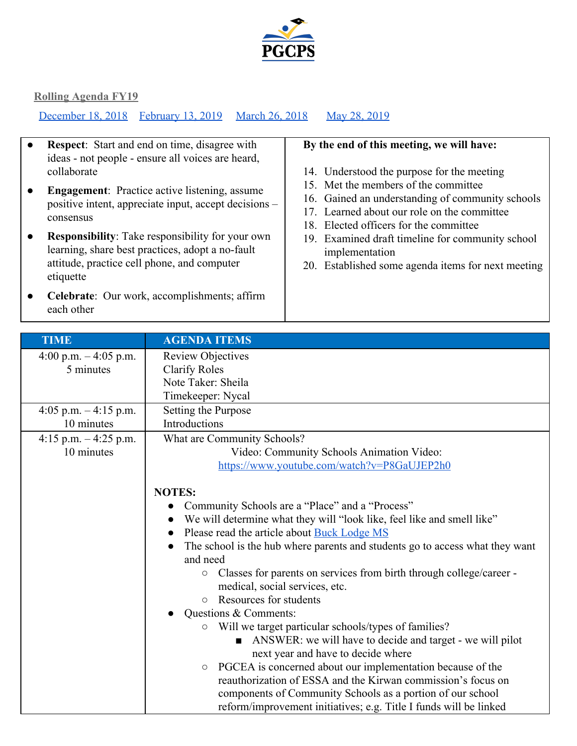

[December 18, 2018](#page-10-0) [February 13, 2019](#page-7-0) [March 26, 2018](#page-5-0) May 28, 2019

- **Respect**: Start and end on time, disagree with ideas - not people - ensure all voices are heard, collaborate
- **Engagement**: Practice active listening, assume positive intent, appreciate input, accept decisions – consensus
- **Responsibility**: Take responsibility for your own learning, share best practices, adopt a no-fault attitude, practice cell phone, and computer etiquette
- **Celebrate**: Our work, accomplishments; affirm each other

## **By the end of this meeting, we will have:**

- 14. Understood the purpose for the meeting
- 15. Met the members of the committee
- 16. Gained an understanding of community schools
- 17. Learned about our role on the committee
- 18. Elected officers for the committee
- 19. Examined draft timeline for community school implementation
- 20. Established some agenda items for next meeting

| <b>TIME</b>             | <b>AGENDA ITEMS</b>                                                                        |  |  |  |
|-------------------------|--------------------------------------------------------------------------------------------|--|--|--|
| 4:00 p.m. $-$ 4:05 p.m. | <b>Review Objectives</b>                                                                   |  |  |  |
| 5 minutes               | <b>Clarify Roles</b>                                                                       |  |  |  |
|                         | Note Taker: Sheila                                                                         |  |  |  |
|                         | Timekeeper: Nycal                                                                          |  |  |  |
| 4:05 p.m. $-4:15$ p.m.  | Setting the Purpose                                                                        |  |  |  |
| 10 minutes              | Introductions                                                                              |  |  |  |
|                         |                                                                                            |  |  |  |
| 4:15 p.m. $-$ 4:25 p.m. | What are Community Schools?                                                                |  |  |  |
| 10 minutes              | Video: Community Schools Animation Video:                                                  |  |  |  |
|                         | https://www.youtube.com/watch?v=P8GaUJEP2h0                                                |  |  |  |
|                         |                                                                                            |  |  |  |
|                         | <b>NOTES:</b>                                                                              |  |  |  |
|                         | Community Schools are a "Place" and a "Process"                                            |  |  |  |
|                         | We will determine what they will "look like, feel like and smell like"<br>$\bullet$        |  |  |  |
|                         | Please read the article about Buck Lodge MS                                                |  |  |  |
|                         | The school is the hub where parents and students go to access what they want               |  |  |  |
|                         | and need                                                                                   |  |  |  |
|                         | Classes for parents on services from birth through college/career -<br>$\circlearrowright$ |  |  |  |
|                         | medical, social services, etc.                                                             |  |  |  |
|                         | Resources for students<br>$\circ$                                                          |  |  |  |
|                         | Questions & Comments:                                                                      |  |  |  |
|                         | Will we target particular schools/types of families?<br>$\circ$                            |  |  |  |
|                         | ANSWER: we will have to decide and target - we will pilot                                  |  |  |  |
|                         | next year and have to decide where                                                         |  |  |  |
|                         | PGCEA is concerned about our implementation because of the<br>$\bigcirc$                   |  |  |  |
|                         | reauthorization of ESSA and the Kirwan commission's focus on                               |  |  |  |
|                         | components of Community Schools as a portion of our school                                 |  |  |  |
|                         | reform/improvement initiatives; e.g. Title I funds will be linked                          |  |  |  |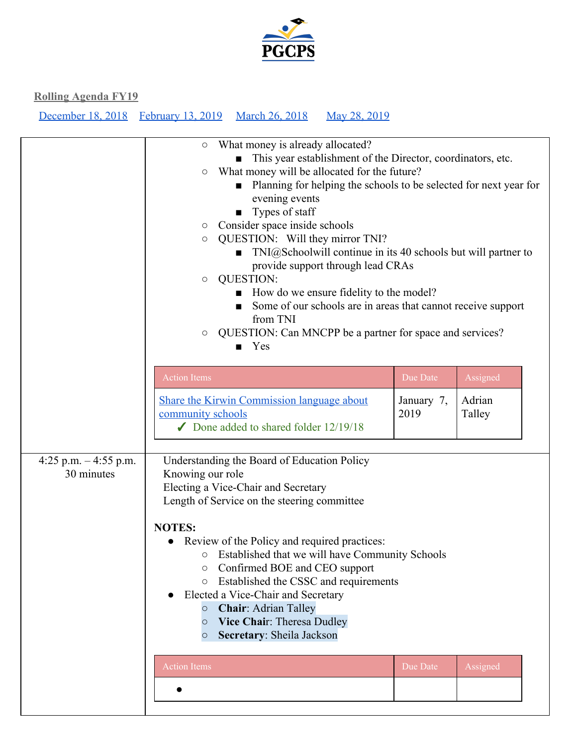

|                                      | What money is already allocated?<br>This year establishment of the Director, coordinators, etc.<br>What money will be allocated for the future?<br>$\circ$<br>Planning for helping the schools to be selected for next year for<br>evening events<br>Types of staff<br>Consider space inside schools<br>$\bigcirc$<br>QUESTION: Will they mirror TNI?<br>$\bigcirc$<br>$TNI@Schoolwill continue in its 40 schools but will partner to$<br>provide support through lead CRAs<br><b>QUESTION:</b><br>$\circ$<br>How do we ensure fidelity to the model?<br>Some of our schools are in areas that cannot receive support<br>from TNI<br>QUESTION: Can MNCPP be a partner for space and services?<br>О<br>$\blacksquare$ Yes |                    |                  |  |  |
|--------------------------------------|--------------------------------------------------------------------------------------------------------------------------------------------------------------------------------------------------------------------------------------------------------------------------------------------------------------------------------------------------------------------------------------------------------------------------------------------------------------------------------------------------------------------------------------------------------------------------------------------------------------------------------------------------------------------------------------------------------------------------|--------------------|------------------|--|--|
|                                      | <b>Action Items</b>                                                                                                                                                                                                                                                                                                                                                                                                                                                                                                                                                                                                                                                                                                      | Due Date           | Assigned         |  |  |
|                                      | <b>Share the Kirwin Commission language about</b><br>community schools<br>$\triangledown$ Done added to shared folder 12/19/18                                                                                                                                                                                                                                                                                                                                                                                                                                                                                                                                                                                           | January 7,<br>2019 | Adrian<br>Talley |  |  |
| 4:25 p.m. $-4:55$ p.m.<br>30 minutes | Understanding the Board of Education Policy<br>Knowing our role<br>Electing a Vice-Chair and Secretary<br>Length of Service on the steering committee<br><b>NOTES:</b><br>Review of the Policy and required practices:<br>○ Established that we will have Community Schools<br>Confirmed BOE and CEO support<br>О<br>Established the CSSC and requirements<br>$\bigcirc$<br>Elected a Vice-Chair and Secretary<br><b>Chair: Adrian Talley</b><br>$\circ$<br>Vice Chair: Theresa Dudley<br>$\bigcirc$<br>Secretary: Sheila Jackson<br>$\circ$                                                                                                                                                                             |                    |                  |  |  |
|                                      | <b>Action Items</b>                                                                                                                                                                                                                                                                                                                                                                                                                                                                                                                                                                                                                                                                                                      | Due Date           | Assigned         |  |  |
|                                      |                                                                                                                                                                                                                                                                                                                                                                                                                                                                                                                                                                                                                                                                                                                          |                    |                  |  |  |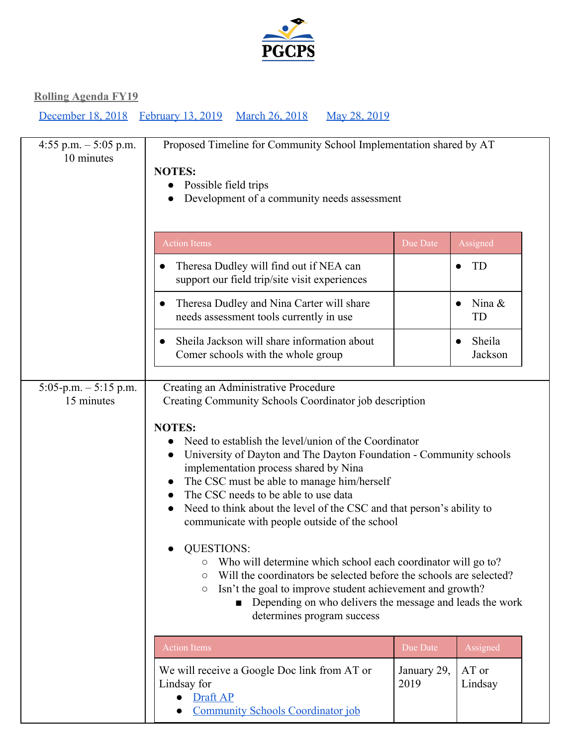

| 4:55 p.m. $-$ 5:05 p.m.<br>10 minutes | Proposed Timeline for Community School Implementation shared by AT<br><b>NOTES:</b><br>Possible field trips<br>Development of a community needs assessment                                                                                                                                                                                                                                                                                                                                                                                                                                                                                                                                                                                                                                                                                          |                     |                                |
|---------------------------------------|-----------------------------------------------------------------------------------------------------------------------------------------------------------------------------------------------------------------------------------------------------------------------------------------------------------------------------------------------------------------------------------------------------------------------------------------------------------------------------------------------------------------------------------------------------------------------------------------------------------------------------------------------------------------------------------------------------------------------------------------------------------------------------------------------------------------------------------------------------|---------------------|--------------------------------|
|                                       | <b>Action Items</b>                                                                                                                                                                                                                                                                                                                                                                                                                                                                                                                                                                                                                                                                                                                                                                                                                                 | Due Date            | Assigned                       |
|                                       | Theresa Dudley will find out if NEA can<br>support our field trip/site visit experiences                                                                                                                                                                                                                                                                                                                                                                                                                                                                                                                                                                                                                                                                                                                                                            |                     | <b>TD</b>                      |
|                                       | Theresa Dudley and Nina Carter will share<br>needs assessment tools currently in use                                                                                                                                                                                                                                                                                                                                                                                                                                                                                                                                                                                                                                                                                                                                                                |                     | Nina $\&$<br>TD                |
|                                       | Sheila Jackson will share information about<br>Comer schools with the whole group                                                                                                                                                                                                                                                                                                                                                                                                                                                                                                                                                                                                                                                                                                                                                                   |                     | Sheila<br>$\bullet$<br>Jackson |
| $5:05-p.m. - 5:15 p.m.$<br>15 minutes | Creating an Administrative Procedure<br>Creating Community Schools Coordinator job description<br><b>NOTES:</b><br>Need to establish the level/union of the Coordinator<br>University of Dayton and The Dayton Foundation - Community schools<br>implementation process shared by Nina<br>The CSC must be able to manage him/herself<br>The CSC needs to be able to use data<br>Need to think about the level of the CSC and that person's ability to<br>communicate with people outside of the school<br><b>QUESTIONS:</b><br>Who will determine which school each coordinator will go to?<br>O<br>Will the coordinators be selected before the schools are selected?<br>$\circ$<br>Isn't the goal to improve student achievement and growth?<br>$\circ$<br>Depending on who delivers the message and leads the work<br>determines program success |                     |                                |
|                                       | <b>Action Items</b>                                                                                                                                                                                                                                                                                                                                                                                                                                                                                                                                                                                                                                                                                                                                                                                                                                 | Due Date            | Assigned                       |
|                                       | We will receive a Google Doc link from AT or<br>Lindsay for<br>Draft AP<br><b>Community Schools Coordinator job</b>                                                                                                                                                                                                                                                                                                                                                                                                                                                                                                                                                                                                                                                                                                                                 | January 29,<br>2019 | AT or<br>Lindsay               |